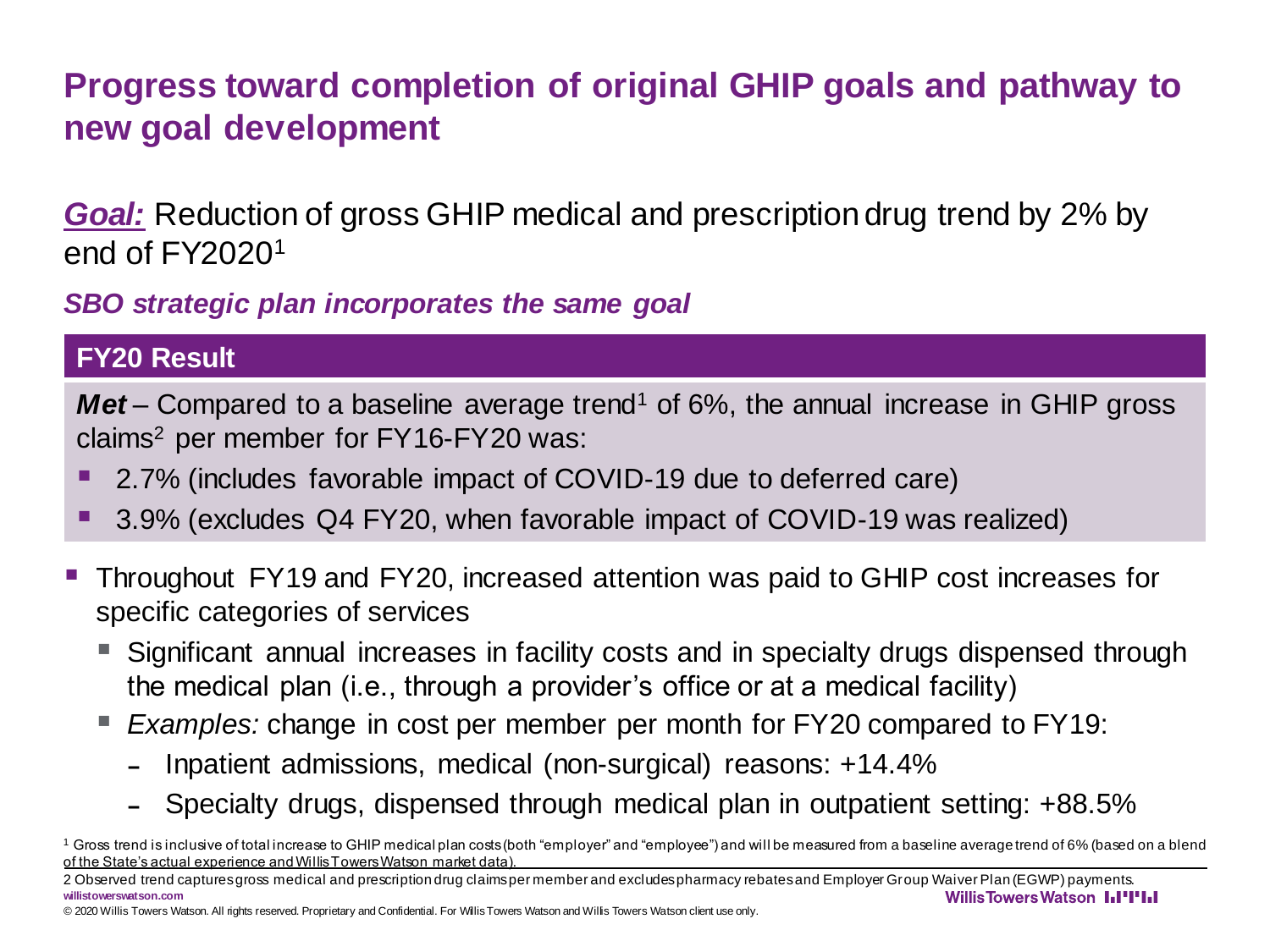*Goal:* Reduction of gross GHIP medical and prescription drug trend by 2% by end of FY2020<sup>1</sup>

*SBO strategic plan incorporates the same goal*

#### **FY20 Result**

*Met* – Compared to a baseline average trend<sup>1</sup> of 6%, the annual increase in GHIP gross claims<sup>2</sup> per member for FY16-FY20 was:

- 2.7% (includes favorable impact of COVID-19 due to deferred care)
- 3.9% (excludes Q4 FY20, when favorable impact of COVID-19 was realized)
- Throughout FY19 and FY20, increased attention was paid to GHIP cost increases for specific categories of services
	- Significant annual increases in facility costs and in specialty drugs dispensed through the medical plan (i.e., through a provider's office or at a medical facility)
	- **Examples: change in cost per member per month for FY20 compared to FY19:** 
		- Inpatient admissions, medical (non-surgical) reasons: +14.4%
		- Specialty drugs, dispensed through medical plan in outpatient setting: +88.5%
- <sup>1</sup> Gross trend is inclusive of total increase to GHIP medical plan costs (both "employer" and "employee") and will be measured from a baseline average trend of 6% (based on a blend of the State's actual experience and Willis Towers Watson market data).

© 2020 Willis Towers Watson. All rights reserved. Proprietary and Confidential. For Willis Towers Watson and Willis Towers Watson client use only.

<sup>2</sup> Observed trend captures gross medical and prescription drug claims per member and excludes pharmacy rebates and Employer Group Waiver Plan (EGWP) payments. **willistowerswatson.com WillisTowersWatson I.I'I'I.I**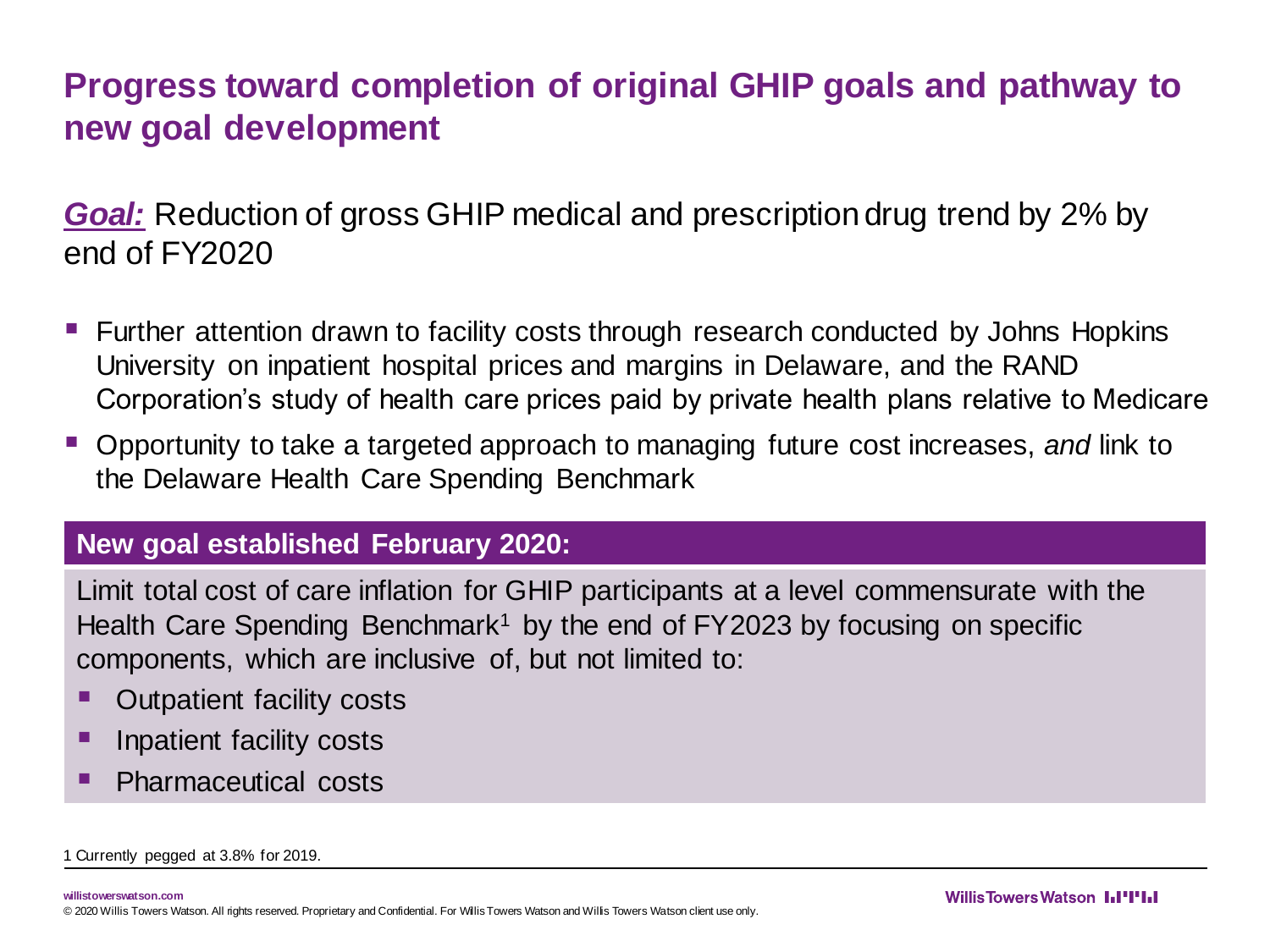*Goal:* Reduction of gross GHIP medical and prescription drug trend by 2% by end of FY2020

- Eurther attention drawn to facility costs through research conducted by Johns Hopkins University on inpatient hospital prices and margins in Delaware, and the RAND Corporation's study of health care prices paid by private health plans relative to Medicare
- Opportunity to take a targeted approach to managing future cost increases, *and* link to the Delaware Health Care Spending Benchmark

#### **New goal established February 2020:**

Limit total cost of care inflation for GHIP participants at a level commensurate with the Health Care Spending Benchmark<sup>1</sup> by the end of  $FY2023$  by focusing on specific components, which are inclusive of, but not limited to:

- **Outpatient facility costs**
- Inpatient facility costs
- **Pharmaceutical costs**

1 Currently pegged at 3.8% for 2019.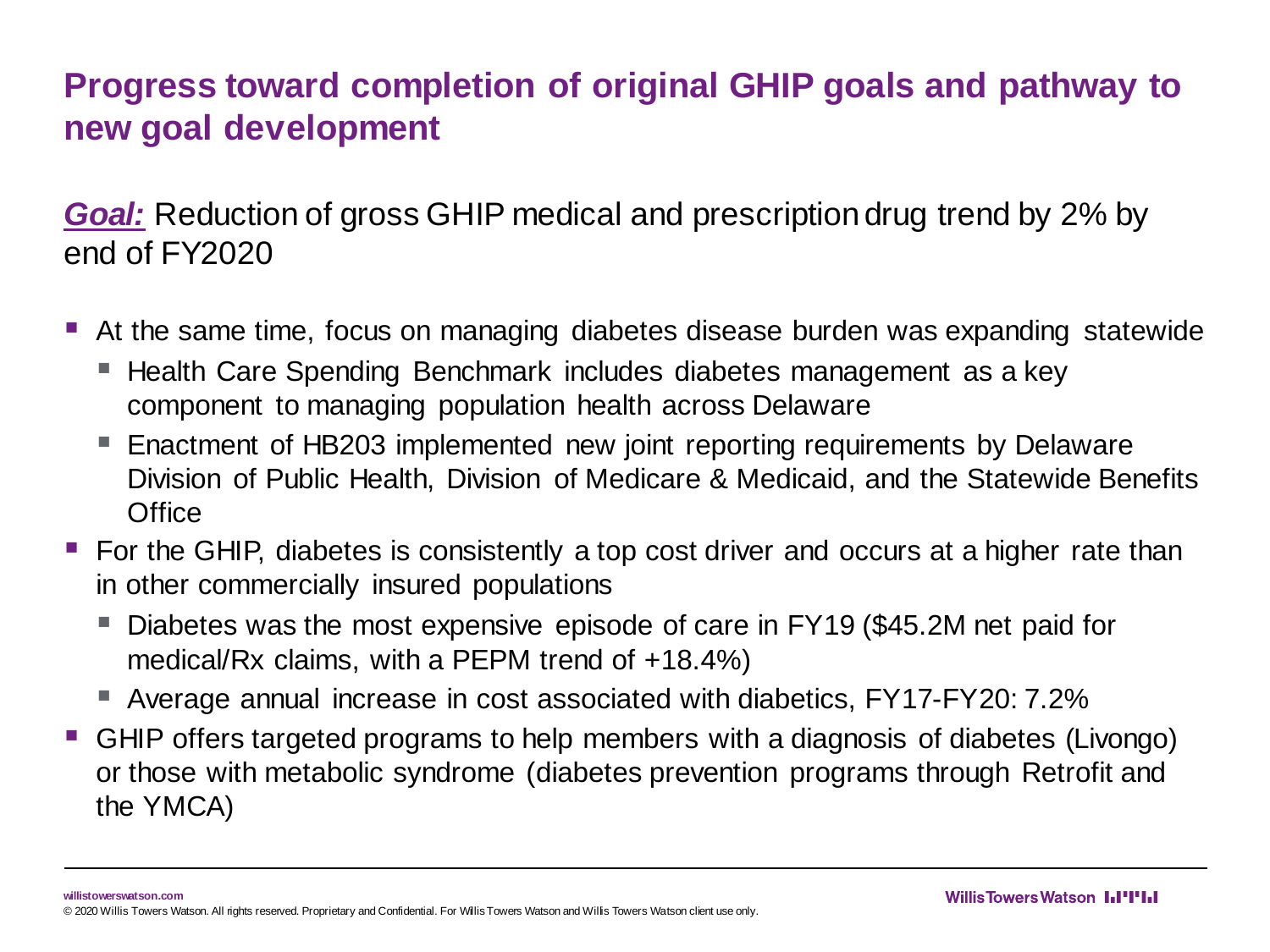*Goal:* Reduction of gross GHIP medical and prescription drug trend by 2% by end of FY2020

- At the same time, focus on managing diabetes disease burden was expanding statewide
	- Health Care Spending Benchmark includes diabetes management as a key component to managing population health across Delaware
	- Enactment of HB203 implemented new joint reporting requirements by Delaware Division of Public Health, Division of Medicare & Medicaid, and the Statewide Benefits **Office**
- For the GHIP, diabetes is consistently a top cost driver and occurs at a higher rate than in other commercially insured populations
	- Diabetes was the most expensive episode of care in FY19 (\$45.2M net paid for medical/Rx claims, with a PEPM trend of +18.4%)
	- Average annual increase in cost associated with diabetics, FY17-FY20: 7.2%
- GHIP offers targeted programs to help members with a diagnosis of diabetes (Livongo) or those with metabolic syndrome (diabetes prevention programs through Retrofit and the YMCA)